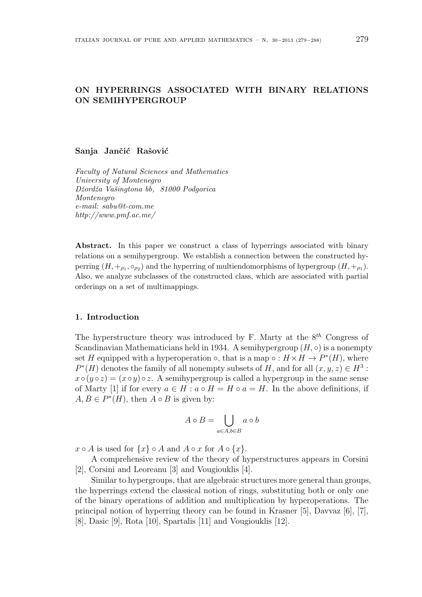# **ON HYPERRINGS ASSOCIATED WITH BINARY RELATIONS ON SEMIHYPERGROUP**

### Sanja Jančić Rašović

*Faculty of Natural Sciences and Mathematics University of Montenegro Dˇzordˇza Vaˇsingtona bb, 81000 Podgorica Montenegro e-mail: sabu@t-com.me http://www.pmf.ac.me/*

**Abstract.** In this paper we construct a class of hyperrings associated with binary relations on a semihypergroup. We establish a connection between the constructed hyperring  $(H, +_{\rho_1}, \circ_{\rho_2})$  and the hyperring of multiendomorphisms of hypergroup  $(H, +_{\rho_1}).$ Also, we analyze subclasses of the constructed class, which are associated with partial orderings on a set of multimappings.

# **1. Introduction**

The hyperstructure theory was introduced by F. Marty at the 8*th* Congress of Scandinavian Mathematicians held in 1934. A semihypergroup  $(H, \circ)$  is a nonempty set *H* equipped with a hyperoperation  $\circ$ , that is a map  $\circ$  :  $H \times H \to P^*(H)$ , where  $P^*(H)$  denotes the family of all nonempty subsets of *H*, and for all  $(x, y, z) \in H^3$ :  $x \circ (y \circ z) = (x \circ y) \circ z$ . A semihypergroup is called a hypergroup in the same sense of Marty [1] if for every  $a \in H : a \circ H = H \circ a = H$ . In the above definitions, if  $A, B \in P^*(H)$ , then  $A \circ B$  is given by:

$$
A \circ B = \bigcup_{a \in A, b \in B} a \circ b
$$

 $x \circ A$  is used for  $\{x\} \circ A$  and  $A \circ x$  for  $A \circ \{x\}$ .

A comprehensive review of the theory of hyperstructures appears in Corsini [2], Corsini and Leoreanu [3] and Vougiouklis [4].

Similar to hypergroups, that are algebraic structures more general than groups, the hyperrings extend the classical notion of rings, substituting both or only one of the binary operations of addition and multiplication by hyperoperations. The principal notion of hyperring theory can be found in Krasner [5], Davvaz [6], [7], [8], Dasic [9], Rota [10], Spartalis [11] and Vougiouklis [12].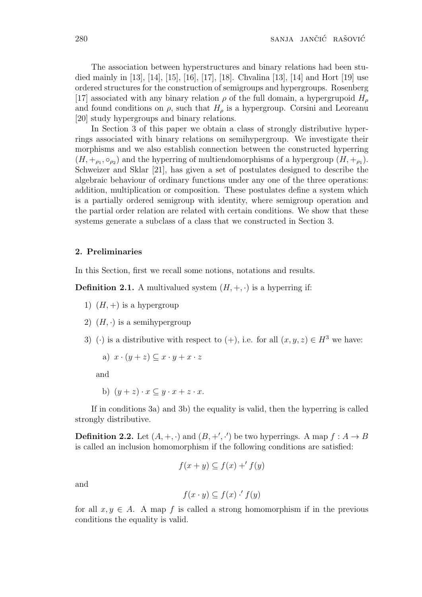The association between hyperstructures and binary relations had been studied mainly in [13], [14], [15], [16], [17], [18]. Chvalina [13], [14] and Hort [19] use ordered structures for the construction of semigroups and hypergroups. Rosenberg [17] associated with any binary relation  $\rho$  of the full domain, a hypergrupoid  $H$ <sup>*ρ*</sup> and found conditions on  $\rho$ , such that  $H_{\rho}$  is a hypergroup. Corsini and Leoreanu [20] study hypergroups and binary relations.

In Section 3 of this paper we obtain a class of strongly distributive hyperrings associated with binary relations on semihypergroup. We investigate their morphisms and we also establish connection between the constructed hyperring  $(H, +_{\rho_1}, \circ_{\rho_2})$  and the hyperring of multiendomorphisms of a hypergroup  $(H, +_{\rho_1})$ . Schweizer and Sklar [21], has given a set of postulates designed to describe the algebraic behaviour of ordinary functions under any one of the three operations: addition, multiplication or composition. These postulates define a system which is a partially ordered semigroup with identity, where semigroup operation and the partial order relation are related with certain conditions. We show that these systems generate a subclass of a class that we constructed in Section 3.

# **2. Preliminaries**

In this Section, first we recall some notions, notations and results.

**Definition 2.1.** A multivalued system  $(H, +, \cdot)$  is a hyperring if:

- 1)  $(H,+)$  is a hypergroup
- 2)  $(H, \cdot)$  is a semihypergroup
- 3) (*·*) is a distributive with respect to (+), i.e. for all  $(x, y, z) \in H^3$  we have:

a) 
$$
x \cdot (y + z) \subseteq x \cdot y + x \cdot z
$$

and

b)  $(y+z) \cdot x \subseteq y \cdot x + z \cdot x$ .

If in conditions 3a) and 3b) the equality is valid, then the hyperring is called strongly distributive.

**Definition 2.2.** Let  $(A, +, \cdot)$  and  $(B, +', \cdot')$  be two hyperrings. A map  $f : A \to B$ is called an inclusion homomorphism if the following conditions are satisfied:

$$
f(x + y) \subseteq f(x) + f(y)
$$

and

$$
f(x \cdot y) \subseteq f(x) \cdot' f(y)
$$

for all  $x, y \in A$ . A map f is called a strong homomorphism if in the previous conditions the equality is valid.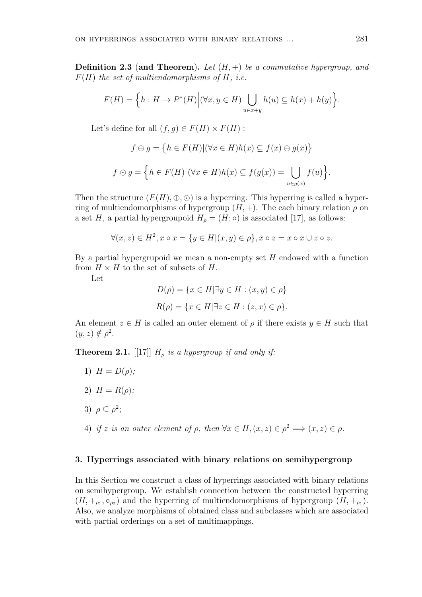**Definition 2.3** (**and Theorem**)**.** *Let* (*H,* +) *be a commutative hypergroup, and F*(*H*) *the set of multiendomorphisms of H, i.e.*

$$
F(H) = \Big\{ h : H \to P^*(H) \Big| (\forall x, y \in H) \bigcup_{u \in x+y} h(u) \subseteq h(x) + h(y) \Big\}.
$$

Let's define for all  $(f, g) \in F(H) \times F(H)$ :

$$
f \oplus g = \{ h \in F(H) | (\forall x \in H) h(x) \subseteq f(x) \oplus g(x) \}
$$

$$
f \odot g = \{ h \in F(H) | (\forall x \in H) h(x) \subseteq f(g(x)) = \bigcup_{u \in g(x)} f(u) \}.
$$

Then the structure  $(F(H), \oplus, \odot)$  is a hyperring. This hyperring is called a hyperring of multiendomorphisms of hypergroup  $(H, +)$ . The each binary relation  $\rho$  on a set *H*, a partial hypergroupoid  $H_{\rho} = (H; \circ)$  is associated [17], as follows:

$$
\forall (x, z) \in H^2, x \circ x = \{ y \in H | (x, y) \in \rho \}, x \circ z = x \circ x \cup z \circ z.
$$

By a partial hypergrupoid we mean a non-empty set *H* endowed with a function from  $H \times H$  to the set of subsets of  $H$ .

Let

$$
D(\rho) = \{x \in H | \exists y \in H : (x, y) \in \rho\}
$$
  

$$
R(\rho) = \{x \in H | \exists z \in H : (z, x) \in \rho\}.
$$

An element  $z \in H$  is called an outer element of  $\rho$  if there exists  $y \in H$  such that  $(y, z) \notin \rho^2$ .

**Theorem 2.1.** [[17]]  $H_p$  *is a hypergroup if and only if:* 

- 1)  $H = D(\rho)$ ;
- 2)  $H = R(\rho);$
- 3)  $\rho \subseteq \rho^2$ ;
- 4) *if z is an outer element of*  $\rho$ *, then*  $\forall x \in H, (x, z) \in \rho^2 \Longrightarrow (x, z) \in \rho$ *.*

### **3. Hyperrings associated with binary relations on semihypergroup**

In this Section we construct a class of hyperrings associated with binary relations on semihypergroup. We establish connection between the constructed hyperring  $(H, +_{\rho_1}, \circ_{\rho_2})$  and the hyperring of multiendomorphisms of hypergroup  $(H, +_{\rho_1})$ . Also, we analyze morphisms of obtained class and subclasses which are associated with partial orderings on a set of multimappings.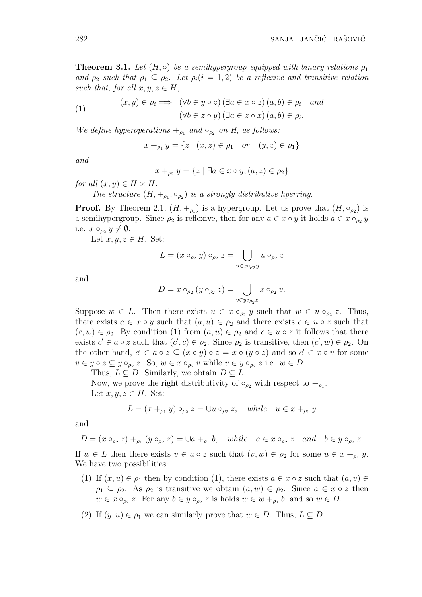**Theorem 3.1.** *Let*  $(H, \circ)$  *be a semihypergroup equipped with binary relations*  $\rho_1$ *and*  $\rho_2$  *such that*  $\rho_1 \subseteq \rho_2$ *. Let*  $\rho_i (i = 1, 2)$  *be a reflexive and transitive relation such that, for all*  $x, y, z \in H$ *,* 

(1) 
$$
(x, y) \in \rho_i \implies (\forall b \in y \circ z) (\exists a \in x \circ z) (a, b) \in \rho_i
$$
 and  
 $(\forall b \in z \circ y) (\exists a \in z \circ x) (a, b) \in \rho_i$ .

*We define hyperoperations*  $+_{\rho_1}$  *and*  $\circ_{\rho_2}$  *on H, as follows:* 

$$
x +_{\rho_1} y = \{ z \mid (x, z) \in \rho_1 \text{ or } (y, z) \in \rho_1 \}
$$

*and*

$$
x +_{\rho_2} y = \{ z \mid \exists a \in x \circ y, (a, z) \in \rho_2 \}
$$

*for all*  $(x, y) \in H \times H$ *.* 

*The structure*  $(H, +_{\rho_1}, \circ_{\rho_2})$  *is a strongly distributive hperring.* 

**Proof.** By Theorem 2.1,  $(H, +_{\rho_1})$  is a hypergroup. Let us prove that  $(H, \circ_{\rho_2})$  is a semihypergroup. Since  $\rho_2$  is reflexive, then for any  $a \in x \circ y$  it holds  $a \in x \circ_{\rho_2} y$ i.e.  $x \circ_{\rho_2} y \neq \emptyset$ .

Let  $x, y, z \in H$ . Set:

$$
L = (x \circ_{\rho_2} y) \circ_{\rho_2} z = \bigcup_{u \in x \circ_{\rho_2} y} u \circ_{\rho_2} z
$$

and

$$
D = x \circ_{\rho_2} (y \circ_{\rho_2} z) = \bigcup_{v \in y \circ_{\rho_2} z} x \circ_{\rho_2} v.
$$

Suppose  $w \in L$ . Then there exists  $u \in x \circ_{\rho_2} y$  such that  $w \in u \circ_{\rho_2} z$ . Thus, there exists  $a \in x \circ y$  such that  $(a, u) \in \rho_2$  and there exists  $c \in u \circ z$  such that  $(c, w) \in \rho_2$ . By condition (1) from  $(a, u) \in \rho_2$  and  $c \in u \circ z$  it follows that there exists  $c' \in a \circ z$  such that  $(c', c) \in \rho_2$ . Since  $\rho_2$  is transitive, then  $(c', w) \in \rho_2$ . On the other hand,  $c' \in a \circ z \subseteq (x \circ y) \circ z = x \circ (y \circ z)$  and so  $c' \in x \circ v$  for some  $v \in y \circ z \subseteq y \circ_{\rho_2} z$ . So,  $w \in x \circ_{\rho_2} v$  while  $v \in y \circ_{\rho_2} z$  i.e.  $w \in D$ .

Thus,  $L \subseteq D$ . Similarly, we obtain  $D \subseteq L$ .

Now, we prove the right distributivity of  $\circ_{\rho_2}$  with respect to  $+_{\rho_1}$ . Let  $x, y, z \in H$ . Set:

$$
L = (x +_{\rho_1} y) \circ_{\rho_2} z = \cup u \circ_{\rho_2} z, \quad while \quad u \in x +_{\rho_1} y
$$

and

$$
D = (x \circ_{\rho_2} z) +_{\rho_1} (y \circ_{\rho_2} z) = \cup a +_{\rho_1} b, \quad while \quad a \in x \circ_{\rho_2} z \quad and \quad b \in y \circ_{\rho_2} z.
$$

If  $w \in L$  then there exists  $v \in u \circ z$  such that  $(v, w) \in \rho_2$  for some  $u \in x +_{\rho_1} y$ . We have two possibilities:

- (1) If  $(x, u) \in \rho_1$  then by condition (1), there exists  $a \in x \circ z$  such that  $(a, v) \in \rho_1$  $\rho_1 \subseteq \rho_2$ . As  $\rho_2$  is transitive we obtain  $(a, w) \in \rho_2$ . Since  $a \in x \circ z$  then  $w \in x \circ_{\rho_2} z$ . For any  $b \in y \circ_{\rho_2} z$  is holds  $w \in w +_{\rho_1} b$ , and so  $w \in D$ .
- (2) If  $(y, u) \in \rho_1$  we can similarly prove that  $w \in D$ . Thus,  $L \subseteq D$ .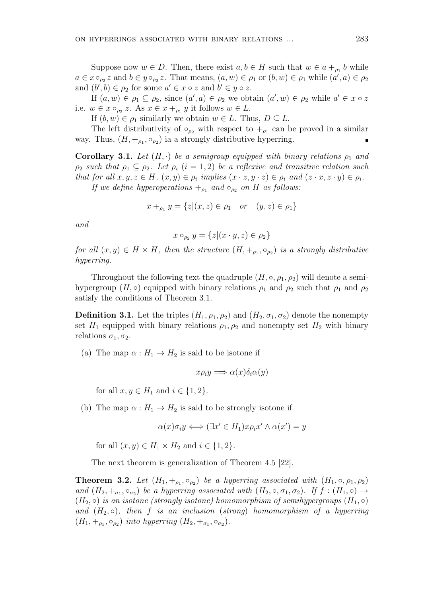Suppose now  $w \in D$ . Then, there exist  $a, b \in H$  such that  $w \in a +_{\rho_1} b$  while  $a \in x \circ_{\rho_2} z$  and  $b \in y \circ_{\rho_2} z$ . That means,  $(a, w) \in \rho_1$  or  $(b, w) \in \rho_1$  while  $(a', a) \in \rho_2$ and  $(b', b) \in \rho_2$  for some  $a' \in x \circ z$  and  $b' \in y \circ z$ .

If  $(a, w) \in \rho_1 \subseteq \rho_2$ , since  $(a', a) \in \rho_2$  we obtain  $(a', w) \in \rho_2$  while  $a' \in x \circ z$ i.e.  $w \in x \circ_{\rho_2} z$ . As  $x \in x +_{\rho_1} y$  it follows  $w \in L$ .

If  $(b, w) \in \rho_1$  similarly we obtain  $w \in L$ . Thus,  $D \subseteq L$ .

The left distributivity of  $\circ_{\rho_2}$  with respect to  $+_{\rho_1}$  can be proved in a similar way. Thus,  $(H, +_{\rho_1}, \circ_{\rho_2})$  ia a strongly distributive hyperring.

**Corollary 3.1.** Let  $(H, \cdot)$  be a semigroup equipped with binary relations  $\rho_1$  and  $\rho_2$  *such that*  $\rho_1 \subseteq \rho_2$ *. Let*  $\rho_i$  (*i* = 1, 2) *be a reflexive and transitive relation such* that for all  $x, y, z \in H$ ,  $(x, y) \in \rho_i$  implies  $(x \cdot z, y \cdot z) \in \rho_i$  and  $(z \cdot x, z \cdot y) \in \rho_i$ .

*If we define hyperoperations*  $+_{\rho_1}$  *and*  $\circ_{\rho_2}$  *on H as follows:* 

 $x +_{\rho_1} y = \{z | (x, z) \in \rho_1 \text{ or } (y, z) \in \rho_1\}$ 

*and*

$$
x \circ_{\rho_2} y = \{z | (x \cdot y, z) \in \rho_2\}
$$

*for all*  $(x, y) \in H \times H$ , then the structure  $(H, +_{\rho_1}, \circ_{\rho_2})$  is a strongly distributive *hyperring.*

Throughout the following text the quadruple  $(H, \circ, \rho_1, \rho_2)$  will denote a semihypergroup  $(H, \circ)$  equipped with binary relations  $\rho_1$  and  $\rho_2$  such that  $\rho_1$  and  $\rho_2$ satisfy the conditions of Theorem 3.1.

**Definition 3.1.** Let the triples  $(H_1, \rho_1, \rho_2)$  and  $(H_2, \sigma_1, \sigma_2)$  denote the nonempty set  $H_1$  equipped with binary relations  $\rho_1, \rho_2$  and nonempty set  $H_2$  with binary relations  $\sigma_1, \sigma_2$ .

(a) The map  $\alpha: H_1 \to H_2$  is said to be isotone if

$$
x\rho_i y \Longrightarrow \alpha(x)\delta_i \alpha(y)
$$

for all  $x, y \in H_1$  and  $i \in \{1, 2\}$ .

(b) The map  $\alpha : H_1 \to H_2$  is said to be strongly isotone if

$$
\alpha(x)\sigma_i y \Longleftrightarrow (\exists x' \in H_1)x\rho_i x' \land \alpha(x') = y
$$

for all  $(x, y) \in H_1 \times H_2$  and  $i \in \{1, 2\}$ .

The next theorem is generalization of Theorem 4.5 [22].

**Theorem 3.2.** Let  $(H_1, +_{\rho_1}, \circ_{\rho_2})$  be a hyperring associated with  $(H_1, \circ, \rho_1, \rho_2)$ *and*  $(H_2, +_{\sigma_1}, \circ_{\sigma_2})$  *be a hyperring associated with*  $(H_2, \circ, \sigma_1, \sigma_2)$ *. If*  $f : (H_1, \circ) \rightarrow$  $(H_2, \circ)$  *is an isotone (strongly isotone) homomorphism of semihypergroups*  $(H_1, \circ)$ *and* (*H*2*, ◦*)*, then f is an inclusion* (*strong*) *homomorphism of a hyperring*  $(H_1, +_{\rho_1}, \circ_{\rho_2})$  *into hyperring*  $(H_2, +_{\sigma_1}, \circ_{\sigma_2})$ *.*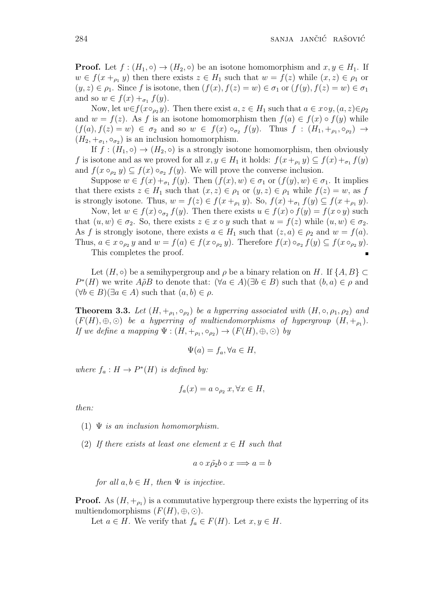**Proof.** Let  $f : (H_1, \circ) \to (H_2, \circ)$  be an isotone homomorphism and  $x, y \in H_1$ . If  $w \in f(x +_{\rho_1} y)$  then there exists  $z \in H_1$  such that  $w = f(z)$  while  $(x, z) \in \rho_1$  or  $(y, z) \in \rho_1$ . Since *f* is isotone, then  $(f(x), f(z) = w) \in \sigma_1$  or  $(f(y), f(z) = w) \in \sigma_1$ and so  $w \in f(x) +_{\sigma_1} f(y)$ .

Now, let  $w \in f(x \circ_{\rho_2} y)$ . Then there exist  $a, z \in H_1$  such that  $a \in x \circ y$ ,  $(a, z) \in \rho_2$ and  $w = f(z)$ . As f is an isotone homomorphism then  $f(a) \in f(x) \circ f(y)$  while  $(f(a), f(z) = w) \in \sigma_2$  and so  $w \in f(x) \circ_{\sigma_2} f(y)$ . Thus  $f : (H_1, +_{\rho_1}, \circ_{\rho_2}) \to$  $(H_2, +_{\sigma_1}, \circ_{\sigma_2})$  is an inclusion homomorphism.

If  $f : (H_1, \circ) \to (H_2, \circ)$  is a strongly isotone homomorphism, then obviously *f* is isotone and as we proved for all  $x, y \in H_1$  it holds:  $f(x +_{\rho_1} y) \subseteq f(x) +_{\sigma_1} f(y)$ and  $f(x \circ_{\rho_2} y) \subseteq f(x) \circ_{\sigma_2} f(y)$ . We will prove the converse inclusion.

Suppose  $w \in f(x) +_{\sigma_1} f(y)$ . Then  $(f(x), w) \in \sigma_1$  or  $(f(y), w) \in \sigma_1$ . It implies that there exists  $z \in H_1$  such that  $(x, z) \in \rho_1$  or  $(y, z) \in \rho_1$  while  $f(z) = w$ , as f is strongly isotone. Thus,  $w = f(z) \in f(x +_{\rho_1} y)$ . So,  $f(x) +_{\sigma_1} f(y) \subseteq f(x +_{\rho_1} y)$ .

Now, let  $w \in f(x) \circ_{\sigma_2} f(y)$ . Then there exists  $u \in f(x) \circ f(y) = f(x \circ y)$  such that  $(u, w) \in \sigma_2$ . So, there exists  $z \in x \circ y$  such that  $u = f(z)$  while  $(u, w) \in \sigma_2$ . As *f* is strongly isotone, there exists  $a \in H_1$  such that  $(z, a) \in \rho_2$  and  $w = f(a)$ . Thus,  $a \in x \circ_{\rho_2} y$  and  $w = f(a) \in f(x \circ_{\rho_2} y)$ . Therefore  $f(x) \circ_{\sigma_2} f(y) \subseteq f(x \circ_{\rho_2} y)$ .

This completes the proof.

Let  $(H, \circ)$  be a semihypergroup and  $\rho$  be a binary relation on *H*. If  $\{A, B\} \subset$ *P*<sup>\*</sup>(*H*) we write  $A\tilde{\rho}B$  to denote that: ( $\forall a \in A$ )( $\exists b \in B$ ) such that (*b, a*)  $\in \rho$  and  $(\forall b \in B)(\exists a \in A)$  such that  $(a, b) \in \rho$ .

**Theorem 3.3.** Let  $(H, +_{\rho_1}, \circ_{\rho_2})$  be a hyperring associated with  $(H, \circ, \rho_1, \rho_2)$  and  $(F(H), \oplus, \odot)$  *be a hyperring of multiendomorphisms of hypergroup*  $(H, +_{\rho_1})$ *. If we define a mapping*  $\Psi : (H, +_{\rho_1}, \circ_{\rho_2}) \to (F(H), \oplus, \odot)$  *by* 

$$
\Psi(a) = f_a, \forall a \in H,
$$

*where*  $f_a: H \to P^*(H)$  *is defined by:* 

$$
f_a(x) = a \circ_{\rho_2} x, \forall x \in H,
$$

*then:*

- (1) Ψ *is an inclusion homomorphism.*
- (2) If there exists at least one element  $x \in H$  such that

$$
a\circ x\tilde{\rho_2}b\circ x\Longrightarrow a=b
$$

*for all*  $a, b \in H$ *, then*  $\Psi$  *is injective.* 

**Proof.** As  $(H, +_{\rho_1})$  is a commutative hypergroup there exists the hyperring of its multiendomorphisms  $(F(H), \oplus, \odot)$ .

Let  $a \in H$ . We verify that  $f_a \in F(H)$ . Let  $x, y \in H$ .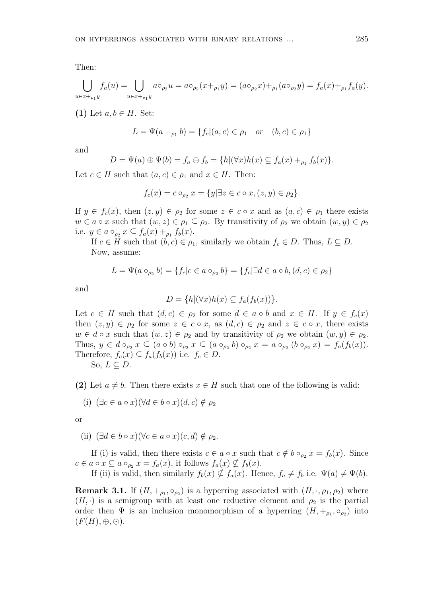Then:

$$
\bigcup_{u \in x+_{\rho_1} y} f_a(u) = \bigcup_{u \in x+_{\rho_1} y} a \circ_{\rho_2} u = a \circ_{\rho_2} (x+_{\rho_1} y) = (a \circ_{\rho_2} x) +_{\rho_1} (a \circ_{\rho_2} y) = f_a(x) +_{\rho_1} f_a(y).
$$

(1) Let  $a, b \in H$ . Set:

$$
L = \Psi(a +_{\rho_1} b) = \{ f_c | (a, c) \in \rho_1 \quad or \quad (b, c) \in \rho_1 \}
$$

and

$$
D = \Psi(a) \oplus \Psi(b) = f_a \oplus f_b = \{h | (\forall x)h(x) \subseteq f_a(x) +_{\rho_1} f_b(x) \}.
$$

Let  $c \in H$  such that  $(a, c) \in \rho_1$  and  $x \in H$ . Then:

$$
f_c(x) = c \circ_{\rho_2} x = \{y | \exists z \in c \circ x, (z, y) \in \rho_2\}.
$$

If  $y \in f_c(x)$ , then  $(z, y) \in \rho_2$  for some  $z \in c \circ x$  and as  $(a, c) \in \rho_1$  there exists  $w \in a \circ x$  such that  $(w, z) \in \rho_1 \subseteq \rho_2$ . By transitivity of  $\rho_2$  we obtain  $(w, y) \in \rho_2$ i.e.  $y \in a \circ_{\rho_2} x \subseteq f_a(x) +_{\rho_1} f_b(x)$ .

If  $c \in H$  such that  $(b, c) \in \rho_1$ , similarly we obtain  $f_c \in D$ . Thus,  $L \subseteq D$ . Now, assume:

$$
L = \Psi(a \circ_{\rho_2} b) = \{ f_c | c \in a \circ_{\rho_2} b \} = \{ f_c | \exists d \in a \circ b, (d, c) \in \rho_2 \}
$$

and

$$
D = \{h | (\forall x)h(x) \subseteq f_a(f_b(x))\}.
$$

Let  $c \in H$  such that  $(d, c) \in \rho_2$  for some  $d \in a \circ b$  and  $x \in H$ . If  $y \in f_c(x)$ then  $(z, y) \in \rho_2$  for some  $z \in c \circ x$ , as  $(d, c) \in \rho_2$  and  $z \in c \circ x$ , there exists  $w \in d \circ x$  such that  $(w, z) \in \rho_2$  and by transitivity of  $\rho_2$  we obtain  $(w, y) \in \rho_2$ . Thus,  $y \in d \circ_{\rho_2} x \subseteq (a \circ b) \circ_{\rho_2} x \subseteq (a \circ_{\rho_2} b) \circ_{\rho_2} x = a \circ_{\rho_2} (b \circ_{\rho_2} x) = f_a(f_b(x)).$ Therefore,  $f_c(x) \subseteq f_a(f_b(x))$  i.e.  $f_c \in D$ . So,  $L ⊆ D$ .

**(2)** Let  $a \neq b$ . Then there exists  $x \in H$  such that one of the following is valid:

(i) 
$$
(\exists c \in a \circ x)(\forall d \in b \circ x)(d, c) \notin \rho_2
$$

or

(ii)  $(\exists d \in b \circ x)(\forall c \in a \circ x)(c, d) \notin \rho_2$ .

If (i) is valid, then there exists  $c \in a \circ x$  such that  $c \notin b \circ_{\rho_2} x = f_b(x)$ . Since  $c \in a \circ x \subseteq a \circ_{\rho_2} x = f_a(x)$ , it follows  $f_a(x) \nsubseteq f_b(x)$ .

If (ii) is valid, then similarly  $f_b(x) \nsubseteq f_a(x)$ . Hence,  $f_a \neq f_b$  i.e.  $\Psi(a) \neq \Psi(b)$ .

**Remark 3.1.** If  $(H, +_{\rho_1}, \circ_{\rho_2})$  is a hyperring associated with  $(H, \cdot, \rho_1, \rho_2)$  where  $(H, \cdot)$  is a semigroup with at least one reductive element and  $\rho_2$  is the partial order then  $\Psi$  is an inclusion monomorphism of a hyperring  $(H, +_{\rho_1}, \circ_{\rho_2})$  into  $(F(H), \oplus, \odot).$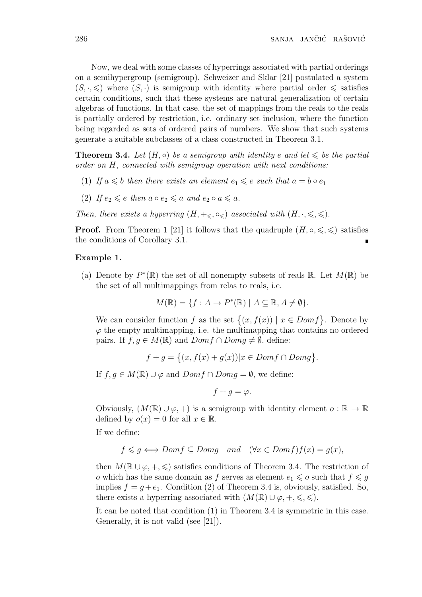Now, we deal with some classes of hyperrings associated with partial orderings on a semihypergroup (semigroup). Schweizer and Sklar [21] postulated a system  $(S, \cdot, \leq)$  where  $(S, \cdot)$  is semigroup with identity where partial order  $\leq$  satisfies certain conditions, such that these systems are natural generalization of certain algebras of functions. In that case, the set of mappings from the reals to the reals is partially ordered by restriction, i.e. ordinary set inclusion, where the function being regarded as sets of ordered pairs of numbers. We show that such systems generate a suitable subclasses of a class constructed in Theorem 3.1.

**Theorem 3.4.** Let  $(H, \circ)$  be a semigroup with identity e and let  $\leq$  be the partial *order on H, connected with semigroup operation with next conditions:*

- (1) If  $a \leq b$  then there exists an element  $e_1 \leq e$  such that  $a = b \circ e_1$
- (2) *If*  $e_2 \leqslant e$  *then*  $a \circ e_2 \leqslant a$  *and*  $e_2 \circ a \leqslant a$ *.*
- *Then, there exists a hyperring*  $(H, +\leq, \circ\leq)$  *associated with*  $(H, \cdot, \leq, \leq)$ *.*

**Proof.** From Theorem 1 [21] it follows that the quadruple  $(H, \circ, \leq, \leq)$  satisfies the conditions of Corollary 3.1.

### **Example 1.**

(a) Denote by  $P^*(\mathbb{R})$  the set of all nonempty subsets of reals  $\mathbb{R}$ . Let  $M(\mathbb{R})$  be the set of all multimappings from relas to reals, i.e.

$$
M(\mathbb{R}) = \{ f : A \to P^*(\mathbb{R}) \mid A \subseteq \mathbb{R}, A \neq \emptyset \}.
$$

We can consider function *f* as the set  $\{(x, f(x)) | x \in Dom f\}$ . Denote by  $\varphi$  the empty multimapping, i.e. the multimapping that contains no ordered pairs. If  $f, g \in M(\mathbb{R})$  and  $Dom f ∩ Dom g \neq \emptyset$ , define:

$$
f + g = \{(x, f(x) + g(x)) | x \in Dom f \cap Dom g\}.
$$

If *f*, *g* ∈ *M*(ℝ) ∪  $\varphi$  and *Domf* ∩ *Domg* =  $\emptyset$ , we define:

$$
f+g=\varphi.
$$

Obviously,  $(M(\mathbb{R}) \cup \varphi, +)$  is a semigroup with identity element  $o : \mathbb{R} \to \mathbb{R}$ defined by  $o(x) = 0$  for all  $x \in \mathbb{R}$ .

If we define:

$$
f \leq g \iff Dom f \subseteq Dom g \quad and \quad (\forall x \in Dom f)f(x) = g(x),
$$

then  $M(\mathbb{R} \cup \varphi, +, \leqslant)$  satisfies conditions of Theorem 3.4. The restriction of *o* which has the same domain as f serves as element  $e_1 \leqslant o$  such that  $f \leqslant g$ implies  $f = g + e_1$ . Condition (2) of Theorem 3.4 is, obviously, satisfied. So, there exists a hyperring associated with  $(M(\mathbb{R}) \cup \varphi, +, \leqslant, \leqslant)$ .

It can be noted that condition (1) in Theorem 3.4 is symmetric in this case. Generally, it is not valid (see [21]).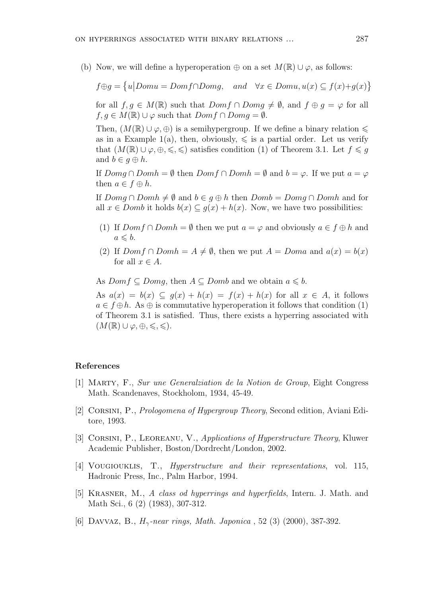(b) Now, we will define a hyperoperation  $\oplus$  on a set  $M(\mathbb{R}) \cup \varphi$ , as follows:

 $f \oplus g = \{u | Domu = Domf \cap Domg, \text{ and } \forall x \in Domu, u(x) \subseteq f(x)+g(x)\}$ 

for all  $f, g \in M(\mathbb{R})$  such that  $Dom f \cap Dom g \neq \emptyset$ , and  $f \oplus g = \varphi$  for all  $f, g \in M(\mathbb{R}) \cup \varphi$  such that  $Dom f \cap Dom g = \emptyset$ .

Then,  $(M(\mathbb{R}) \cup \varphi, \oplus)$  is a semihypergroup. If we define a binary relation  $\leq$ as in a Example 1(a), then, obviously,  $\leq$  is a partial order. Let us verify that  $(M(\mathbb{R}) \cup \varphi, \oplus, \leqslant, \leqslant)$  satisfies condition (1) of Theorem 3.1. Let  $f \leqslant g$ and  $b \in q \oplus h$ .

If  $Dom\beta \cap Domh = \emptyset$  then  $Dom\beta \cap Domh = \emptyset$  and  $b = \varphi$ . If we put  $a = \varphi$ then  $a \in f \oplus h$ .

If *Domg* ∩ *Domh*  $\neq$  *Ø* and *b*  $\in$  *g*  $\oplus$  *h* then *Domb* = *Domg* ∩ *Domh* and for all  $x \in Domb$  it holds  $b(x) \subseteq q(x) + h(x)$ . Now, we have two possibilities:

- (1) If  $Dom f \cap Dom h = \emptyset$  then we put  $a = \varphi$  and obviously  $a \in f \oplus h$  and  $a \leqslant b$ .
- (2) If  $Dom f \cap Dom h = A \neq \emptyset$ , then we put  $A = Dom a$  and  $a(x) = b(x)$ for all  $x \in A$ .

As *Domf*  $\subseteq$  *Domg*, then  $A \subseteq$  *Domb* and we obtain  $a \le b$ .

As  $a(x) = b(x) \subseteq g(x) + h(x) = f(x) + h(x)$  for all  $x \in A$ , it follows  $a \in f \oplus h$ . As  $\oplus$  is commutative hyperoperation it follows that condition (1) of Theorem 3.1 is satisfied. Thus, there exists a hyperring associated with  $(M(\mathbb{R}) \cup \varphi, \oplus, \leqslant, \leqslant).$ 

# **References**

- [1] Marty, F., *Sur une Generalziation de la Notion de Group*, Eight Congress Math. Scandenaves, Stockholom, 1934, 45-49.
- [2] Corsini, P., *Prologomena of Hypergroup Theory*, Second edition, Aviani Editore, 1993.
- [3] Corsini, P., Leoreanu, V., *Applications of Hyperstructure Theory*, Kluwer Academic Publisher, Boston/Dordrecht/London, 2002.
- [4] Vougiouklis, T., *Hyperstructure and their representations*, vol. 115, Hadronic Press, Inc., Palm Harbor, 1994.
- [5] Krasner, M., *A class od hyperrings and hyperfields*, Intern. J. Math. and Math Sci., 6 (2) (1983), 307-312.
- [6] Davvaz, B., *Hγ-near rings, Math. Japonica* , 52 (3) (2000), 387-392.